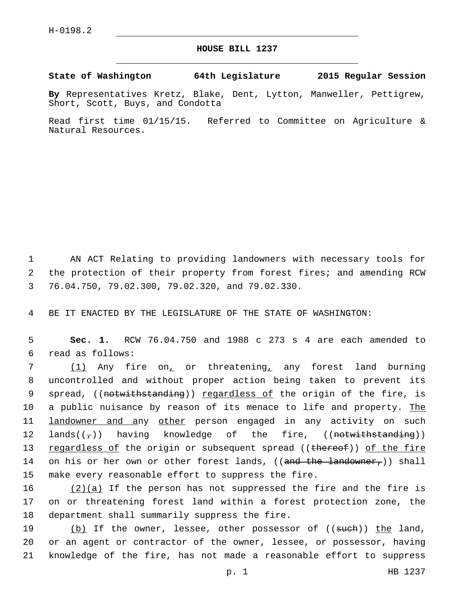## **HOUSE BILL 1237**

**State of Washington 64th Legislature 2015 Regular Session**

**By** Representatives Kretz, Blake, Dent, Lytton, Manweller, Pettigrew, Short, Scott, Buys, and Condotta

Read first time 01/15/15. Referred to Committee on Agriculture & Natural Resources.

1 AN ACT Relating to providing landowners with necessary tools for 2 the protection of their property from forest fires; and amending RCW 3 76.04.750, 79.02.300, 79.02.320, and 79.02.330.

4 BE IT ENACTED BY THE LEGISLATURE OF THE STATE OF WASHINGTON:

5 **Sec. 1.** RCW 76.04.750 and 1988 c 273 s 4 are each amended to read as follows:6

7 (1) Any fire on, or threatening, any forest land burning 8 uncontrolled and without proper action being taken to prevent its 9 spread, ((<del>notwithstanding</del>)) <u>regardless of</u> the origin of the fire, is 10 a public nuisance by reason of its menace to life and property. The 11 **landowner and any other** person engaged in any activity on such 12 lands( $(\tau)$ ) having knowledge of the fire, ((<del>notwithstanding</del>)) 13 regardless of the origin or subsequent spread ((thereof)) of the fire 14 on his or her own or other forest lands, ((<del>and the landowner,</del>)) shall 15 make every reasonable effort to suppress the fire.

16  $(2)(a)$  If the person has not suppressed the fire and the fire is 17 on or threatening forest land within a forest protection zone, the 18 department shall summarily suppress the fire.

19 (b) If the owner, lessee, other possessor of ((such)) the land, 20 or an agent or contractor of the owner, lessee, or possessor, having 21 knowledge of the fire, has not made a reasonable effort to suppress

p. 1 HB 1237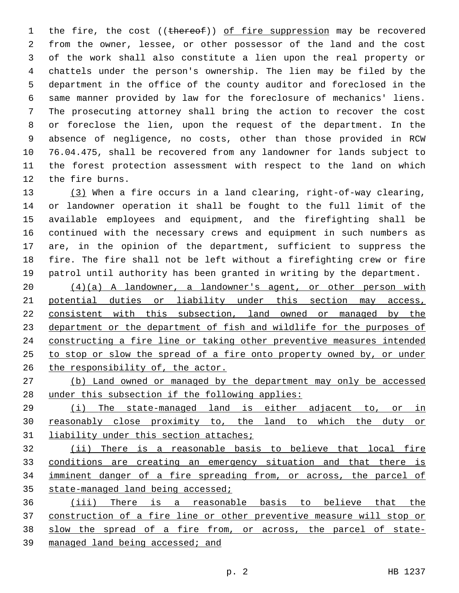1 the fire, the cost ((thereof)) of fire suppression may be recovered from the owner, lessee, or other possessor of the land and the cost of the work shall also constitute a lien upon the real property or chattels under the person's ownership. The lien may be filed by the department in the office of the county auditor and foreclosed in the same manner provided by law for the foreclosure of mechanics' liens. The prosecuting attorney shall bring the action to recover the cost or foreclose the lien, upon the request of the department. In the absence of negligence, no costs, other than those provided in RCW 76.04.475, shall be recovered from any landowner for lands subject to the forest protection assessment with respect to the land on which 12 the fire burns.

 (3) When a fire occurs in a land clearing, right-of-way clearing, or landowner operation it shall be fought to the full limit of the available employees and equipment, and the firefighting shall be continued with the necessary crews and equipment in such numbers as are, in the opinion of the department, sufficient to suppress the fire. The fire shall not be left without a firefighting crew or fire patrol until authority has been granted in writing by the department.

 (4)(a) A landowner, a landowner's agent, or other person with 21 potential duties or liability under this section may access, consistent with this subsection, land owned or managed by the department or the department of fish and wildlife for the purposes of constructing a fire line or taking other preventive measures intended to stop or slow the spread of a fire onto property owned by, or under 26 the responsibility of, the actor.

 (b) Land owned or managed by the department may only be accessed 28 under this subsection if the following applies:

 (i) The state-managed land is either adjacent to, or in reasonably close proximity to, the land to which the duty or 31 liability under this section attaches;

 (ii) There is a reasonable basis to believe that local fire conditions are creating an emergency situation and that there is imminent danger of a fire spreading from, or across, the parcel of 35 state-managed land being accessed;

 (iii) There is a reasonable basis to believe that the construction of a fire line or other preventive measure will stop or slow the spread of a fire from, or across, the parcel of state-managed land being accessed; and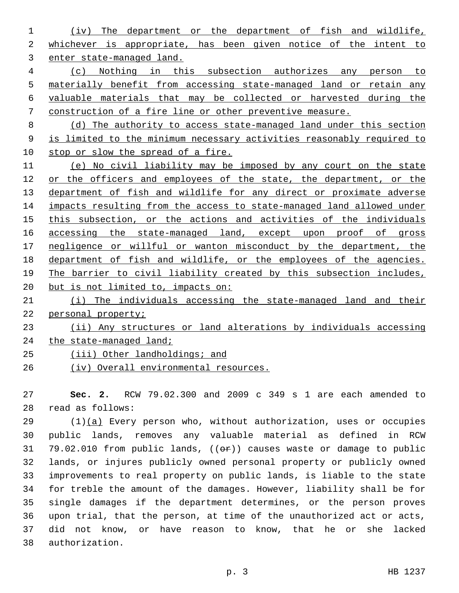(iv) The department or the department of fish and wildlife, whichever is appropriate, has been given notice of the intent to enter state-managed land.

 (c) Nothing in this subsection authorizes any person to materially benefit from accessing state-managed land or retain any valuable materials that may be collected or harvested during the construction of a fire line or other preventive measure.

 (d) The authority to access state-managed land under this section is limited to the minimum necessary activities reasonably required to 10 stop or slow the spread of a fire.

 (e) No civil liability may be imposed by any court on the state 12 or the officers and employees of the state, the department, or the department of fish and wildlife for any direct or proximate adverse impacts resulting from the access to state-managed land allowed under this subsection, or the actions and activities of the individuals 16 accessing the state-managed land, except upon proof of gross negligence or willful or wanton misconduct by the department, the department of fish and wildlife, or the employees of the agencies. The barrier to civil liability created by this subsection includes, 20 but is not limited to, impacts on: (i) The individuals accessing the state-managed land and their personal property;

 (ii) Any structures or land alterations by individuals accessing 24 the state-managed land;

- 25 (iii) Other landholdings; and
- (iv) Overall environmental resources.

 **Sec. 2.** RCW 79.02.300 and 2009 c 349 s 1 are each amended to read as follows:28

 (1)(a) Every person who, without authorization, uses or occupies public lands, removes any valuable material as defined in RCW 31 79.02.010 from public lands, (( $\Theta$ r)) causes waste or damage to public lands, or injures publicly owned personal property or publicly owned improvements to real property on public lands, is liable to the state for treble the amount of the damages. However, liability shall be for single damages if the department determines, or the person proves upon trial, that the person, at time of the unauthorized act or acts, did not know, or have reason to know, that he or she lacked 38 authorization.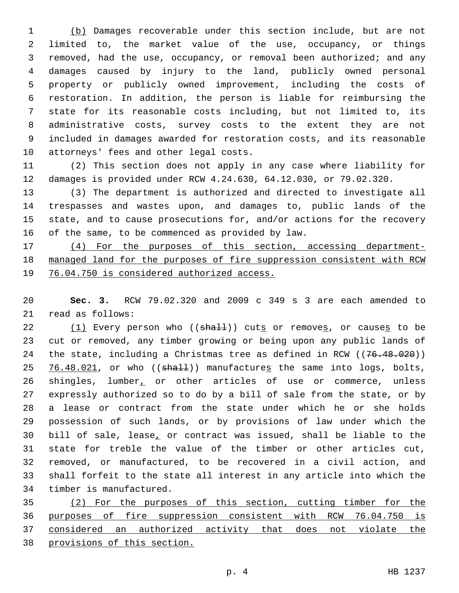(b) Damages recoverable under this section include, but are not limited to, the market value of the use, occupancy, or things removed, had the use, occupancy, or removal been authorized; and any damages caused by injury to the land, publicly owned personal property or publicly owned improvement, including the costs of restoration. In addition, the person is liable for reimbursing the state for its reasonable costs including, but not limited to, its administrative costs, survey costs to the extent they are not included in damages awarded for restoration costs, and its reasonable 10 attorneys' fees and other legal costs.

 (2) This section does not apply in any case where liability for damages is provided under RCW 4.24.630, 64.12.030, or 79.02.320.

 (3) The department is authorized and directed to investigate all trespasses and wastes upon, and damages to, public lands of the state, and to cause prosecutions for, and/or actions for the recovery 16 of the same, to be commenced as provided by law.

 (4) For the purposes of this section, accessing department- managed land for the purposes of fire suppression consistent with RCW 76.04.750 is considered authorized access.

 **Sec. 3.** RCW 79.02.320 and 2009 c 349 s 3 are each amended to 21 read as follows:

 $(1)$  Every person who (( $shall$ )) cuts or removes, or causes to be cut or removed, any timber growing or being upon any public lands of 24 the state, including a Christmas tree as defined in RCW ((76.48.020)) 25 76.48.021, or who  $((shath)$  manufactures the same into logs, bolts, 26 shingles, lumber, or other articles of use or commerce, unless expressly authorized so to do by a bill of sale from the state, or by a lease or contract from the state under which he or she holds possession of such lands, or by provisions of law under which the bill of sale, lease, or contract was issued, shall be liable to the state for treble the value of the timber or other articles cut, removed, or manufactured, to be recovered in a civil action, and shall forfeit to the state all interest in any article into which the 34 timber is manufactured.

 (2) For the purposes of this section, cutting timber for the purposes of fire suppression consistent with RCW 76.04.750 is considered an authorized activity that does not violate the provisions of this section.